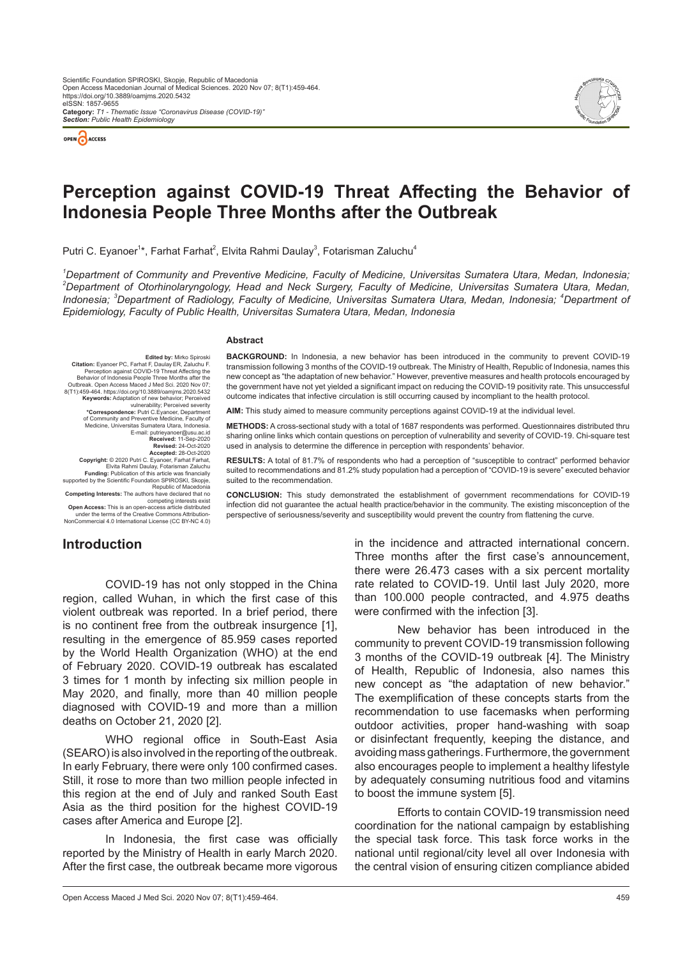



# **Perception against COVID-19 Threat Affecting the Behavior of Indonesia People Three Months after the Outbreak**

Putri C. Eyanoer $^{\text{1}*}$ , Farhat Farhat $^{\text{2}}$ , Elvita Rahmi Daulay $^{\text{3}}$ , Fotarisman Zaluchu $^{\text{4}}$ 

<sup>1</sup>Department of Community and Preventive Medicine, Faculty of Medicine, Universitas Sumatera Utara, Medan, Indonesia; *2 Department of Otorhinolaryngology, Head and Neck Surgery, Faculty of Medicine, Universitas Sumatera Utara, Medan,*  Indonesia; <sup>3</sup>Department of Radiology, Faculty of Medicine, Universitas Sumatera Utara, Medan, Indonesia; <sup>4</sup>Department of *Epidemiology, Faculty of Public Health, Universitas Sumatera Utara, Medan, Indonesia*

#### **Abstract**

**Edited by:** Mirko Spiroski **Citation:** Eyanoer PC, Farhat F, Daulay ER, Zaluchu F.<br>Perception against COVID-19 Threat Affecting the<br>Behavior of Indonesia People Three Months after the Outbreak. Open Access Maced J Med Sci. 2020 Nov 07;<br>
954644. https://doi.org/10.3889/oamjms. 2020.5432<br>
Keywords: Adaptation of new behavior; Perceived<br>
vulnerability; Perceived severity<br>
"Correspondence: Putic C.Eyancer, Medicine, Universitas Sumatera Utara, Indonesia. E-mail: putrieyanoer@usu.ac.id **Received:** 11-Sep-2020 **Revised:** 24-Oct-2020<br>**Accepted:** 28-Oct-2020<br>**Copyright:** © 2020 Putri C. Eyanoer, Farhat Farhat,<br>Elvita Rahmi Daulay, Fotarisman Zaluchu **Funding:** Publication of this article was financially<br>supported by the Scientific Foundation SPIROSKI, Skopje,

supported by the Scientific Foundation SPIROSKI, Skopje,<br>Fepublic of Macedonia<br>Competing Interests: The authors have declared that no<br>competing interests exist<br>Open Access: This is an open-access article distributed<br>under NonCommercial 4.0 International License (CC BY-NC 4.0)

**BACKGROUND:** In Indonesia, a new behavior has been introduced in the community to prevent COVID-19 transmission following 3 months of the COVID-19 outbreak. The Ministry of Health, Republic of Indonesia, names this new concept as "the adaptation of new behavior." However, preventive measures and health protocols encouraged by the government have not yet yielded a significant impact on reducing the COVID-19 positivity rate. This unsuccessful outcome indicates that infective circulation is still occurring caused by incompliant to the health protocol.

**AIM:** This study aimed to measure community perceptions against COVID-19 at the individual level.

**METHODS:** A cross-sectional study with a total of 1687 respondents was performed. Questionnaires distributed thru sharing online links which contain questions on perception of vulnerability and severity of COVID-19. Chi-square test used in analysis to determine the difference in perception with respondents' behavior.

**RESULTS:** A total of 81.7% of respondents who had a perception of "susceptible to contract" performed behavior suited to recommendations and 81.2% study population had a perception of "COVID-19 is severe" executed behavior suited to the recommendation.

**CONCLUSION:** This study demonstrated the establishment of government recommendations for COVID-19 infection did not guarantee the actual health practice/behavior in the community. The existing misconception of the perspective of seriousness/severity and susceptibility would prevent the country from flattening the curve.

## **Introduction**

COVID-19 has not only stopped in the China region, called Wuhan, in which the first case of this violent outbreak was reported. In a brief period, there is no continent free from the outbreak insurgence [1], resulting in the emergence of 85.959 cases reported by the World Health Organization (WHO) at the end of February 2020. COVID-19 outbreak has escalated 3 times for 1 month by infecting six million people in May 2020, and finally, more than 40 million people diagnosed with COVID-19 and more than a million deaths on October 21, 2020 [2].

WHO regional office in South-East Asia (SEARO) is also involved in the reporting of the outbreak. In early February, there were only 100 confirmed cases. Still, it rose to more than two million people infected in this region at the end of July and ranked South East Asia as the third position for the highest COVID-19 cases after America and Europe [2].

In Indonesia, the first case was officially reported by the Ministry of Health in early March 2020. After the first case, the outbreak became more vigorous in the incidence and attracted international concern. Three months after the first case's announcement, there were 26.473 cases with a six percent mortality rate related to COVID-19. Until last July 2020, more than 100.000 people contracted, and 4.975 deaths were confirmed with the infection [3].

New behavior has been introduced in the community to prevent COVID-19 transmission following 3 months of the COVID-19 outbreak [4]. The Ministry of Health, Republic of Indonesia, also names this new concept as "the adaptation of new behavior." The exemplification of these concepts starts from the recommendation to use facemasks when performing outdoor activities, proper hand-washing with soap or disinfectant frequently, keeping the distance, and avoiding mass gatherings. Furthermore, the government also encourages people to implement a healthy lifestyle by adequately consuming nutritious food and vitamins to boost the immune system [5].

Efforts to contain COVID-19 transmission need coordination for the national campaign by establishing the special task force. This task force works in the national until regional/city level all over Indonesia with the central vision of ensuring citizen compliance abided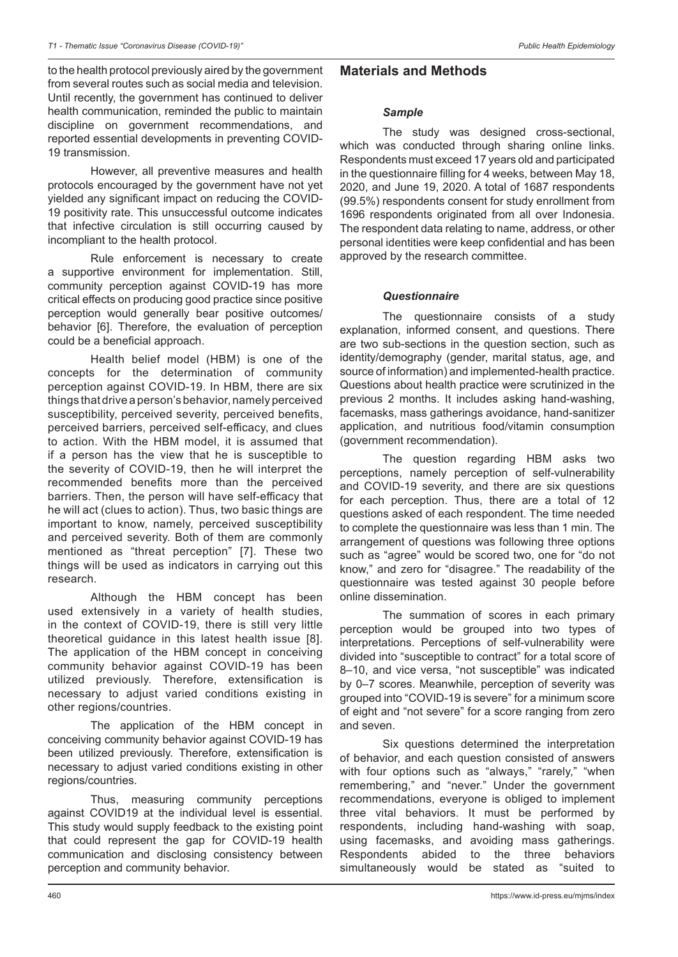to the health protocol previously aired by the government from several routes such as social media and television. Until recently, the government has continued to deliver health communication, reminded the public to maintain discipline on government recommendations, and reported essential developments in preventing COVID-19 transmission.

However, all preventive measures and health protocols encouraged by the government have not yet yielded any significant impact on reducing the COVID-19 positivity rate. This unsuccessful outcome indicates that infective circulation is still occurring caused by incompliant to the health protocol.

Rule enforcement is necessary to create a supportive environment for implementation. Still, community perception against COVID-19 has more critical effects on producing good practice since positive perception would generally bear positive outcomes/ behavior [6]. Therefore, the evaluation of perception could be a beneficial approach.

Health belief model (HBM) is one of the concepts for the determination of community perception against COVID-19. In HBM, there are six things that drive a person's behavior, namely perceived susceptibility, perceived severity, perceived benefits, perceived barriers, perceived self-efficacy, and clues to action. With the HBM model, it is assumed that if a person has the view that he is susceptible to the severity of COVID-19, then he will interpret the recommended benefits more than the perceived barriers. Then, the person will have self-efficacy that he will act (clues to action). Thus, two basic things are important to know, namely, perceived susceptibility and perceived severity. Both of them are commonly mentioned as "threat perception" [7]. These two things will be used as indicators in carrying out this research.

Although the HBM concept has been used extensively in a variety of health studies, in the context of COVID-19, there is still very little theoretical guidance in this latest health issue [8]. The application of the HBM concept in conceiving community behavior against COVID-19 has been utilized previously. Therefore, extensification is necessary to adjust varied conditions existing in other regions/countries.

The application of the HBM concept in conceiving community behavior against COVID-19 has been utilized previously. Therefore, extensification is necessary to adjust varied conditions existing in other regions/countries.

Thus, measuring community perceptions against COVID19 at the individual level is essential. This study would supply feedback to the existing point that could represent the gap for COVID-19 health communication and disclosing consistency between perception and community behavior.

# **Materials and Methods**

### *Sample*

The study was designed cross-sectional, which was conducted through sharing online links. Respondents must exceed 17 years old and participated in the questionnaire filling for 4 weeks, between May 18, 2020, and June 19, 2020. A total of 1687 respondents (99.5%) respondents consent for study enrollment from 1696 respondents originated from all over Indonesia. The respondent data relating to name, address, or other personal identities were keep confidential and has been approved by the research committee.

## *Questionnaire*

The questionnaire consists of a study explanation, informed consent, and questions. There are two sub-sections in the question section, such as identity/demography (gender, marital status, age, and source of information) and implemented-health practice. Questions about health practice were scrutinized in the previous 2 months. It includes asking hand-washing, facemasks, mass gatherings avoidance, hand-sanitizer application, and nutritious food/vitamin consumption (government recommendation).

The question regarding HBM asks two perceptions, namely perception of self-vulnerability and COVID-19 severity, and there are six questions for each perception. Thus, there are a total of 12 questions asked of each respondent. The time needed to complete the questionnaire was less than 1 min. The arrangement of questions was following three options such as "agree" would be scored two, one for "do not know," and zero for "disagree." The readability of the questionnaire was tested against 30 people before online dissemination.

The summation of scores in each primary perception would be grouped into two types of interpretations. Perceptions of self-vulnerability were divided into "susceptible to contract" for a total score of 8–10, and vice versa, "not susceptible" was indicated by 0–7 scores. Meanwhile, perception of severity was grouped into "COVID-19 is severe" for a minimum score of eight and "not severe" for a score ranging from zero and seven.

Six questions determined the interpretation of behavior, and each question consisted of answers with four options such as "always," "rarely," "when remembering," and "never." Under the government recommendations, everyone is obliged to implement three vital behaviors. It must be performed by respondents, including hand-washing with soap, using facemasks, and avoiding mass gatherings. Respondents abided to the three behaviors<br>simultaneously would be stated as "suited to simultaneously would be stated as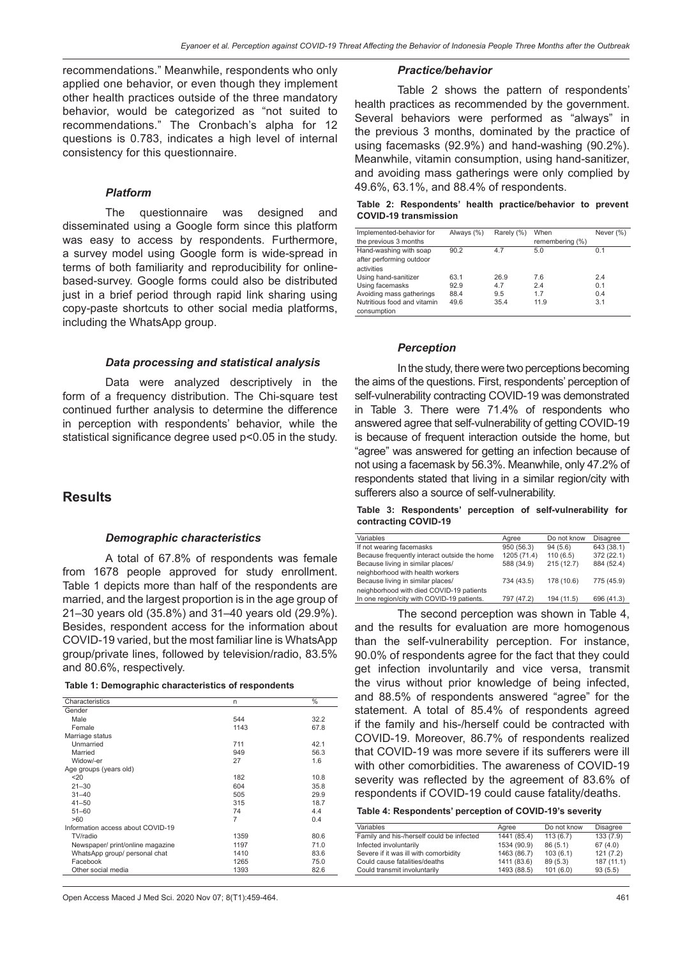recommendations." Meanwhile, respondents who only applied one behavior, or even though they implement other health practices outside of the three mandatory behavior, would be categorized as "not suited to recommendations." The Cronbach's alpha for 12 questions is 0.783, indicates a high level of internal consistency for this questionnaire.

#### *Platform*

The questionnaire was designed and disseminated using a Google form since this platform was easy to access by respondents. Furthermore, a survey model using Google form is wide-spread in terms of both familiarity and reproducibility for onlinebased-survey. Google forms could also be distributed just in a brief period through rapid link sharing using copy-paste shortcuts to other social media platforms, including the WhatsApp group.

#### *Data processing and statistical analysis*

Data were analyzed descriptively in the form of a frequency distribution. The Chi-square test continued further analysis to determine the difference in perception with respondents' behavior, while the statistical significance degree used p<0.05 in the study.

## **Results**

#### *Demographic characteristics*

A total of 67.8% of respondents was female from 1678 people approved for study enrollment. Table 1 depicts more than half of the respondents are married, and the largest proportion is in the age group of 21–30 years old (35.8%) and 31–40 years old (29.9%). Besides, respondent access for the information about COVID-19 varied, but the most familiar line is WhatsApp group/private lines, followed by television/radio, 83.5% and 80.6%, respectively.

| Characteristics                   | n    | $\frac{0}{0}$ |
|-----------------------------------|------|---------------|
| Gender                            |      |               |
| Male                              | 544  | 32.2          |
| Female                            | 1143 | 67.8          |
| Marriage status                   |      |               |
| Unmarried                         | 711  | 42.1          |
| Married                           | 949  | 56.3          |
| Widow/-er                         | 27   | 1.6           |
| Age groups (years old)            |      |               |
| 20                                | 182  | 10.8          |
| $21 - 30$                         | 604  | 35.8          |
| $31 - 40$                         | 505  | 29.9          |
| $41 - 50$                         | 315  | 18.7          |
| $51 - 60$                         | 74   | 4.4           |
| >60                               | 7    | 0.4           |
| Information access about COVID-19 |      |               |
| TV/radio                          | 1359 | 80.6          |
| Newspaper/ print/online magazine  | 1197 | 71.0          |
| WhatsApp group/ personal chat     | 1410 | 83.6          |
| Facebook                          | 1265 | 75.0          |
| Other social media                | 1393 | 82.6          |
|                                   |      |               |

#### *Practice/behavior*

Table 2 shows the pattern of respondents' health practices as recommended by the government. Several behaviors were performed as "always" in the previous 3 months, dominated by the practice of using facemasks (92.9%) and hand-washing (90.2%). Meanwhile, vitamin consumption, using hand-sanitizer, and avoiding mass gatherings were only complied by 49.6%, 63.1%, and 88.4% of respondents.

|  |                              | Table 2: Respondents' health practice/behavior to prevent |  |
|--|------------------------------|-----------------------------------------------------------|--|
|  | <b>COVID-19 transmission</b> |                                                           |  |

| Implemented-behavior for    | Always (%) | Rarely (%) | When            | Never (%) |
|-----------------------------|------------|------------|-----------------|-----------|
| the previous 3 months       |            |            | remembering (%) |           |
| Hand-washing with soap      | 90.2       | 4.7        | 5.0             | 0.1       |
| after performing outdoor    |            |            |                 |           |
| activities                  |            |            |                 |           |
| Using hand-sanitizer        | 63.1       | 26.9       | 7.6             | 2.4       |
| Using facemasks             | 92.9       | 4.7        | 2.4             | 0.1       |
| Avoiding mass gatherings    | 88.4       | 9.5        | 1.7             | 0.4       |
| Nutritious food and vitamin | 49.6       | 35.4       | 11.9            | 3.1       |
| consumption                 |            |            |                 |           |

#### *Perception*

In the study, there were two perceptions becoming the aims of the questions. First, respondents' perception of self-vulnerability contracting COVID-19 was demonstrated in Table 3. There were 71.4% of respondents who answered agree that self-vulnerability of getting COVID-19 is because of frequent interaction outside the home, but "agree" was answered for getting an infection because of not using a facemask by 56.3%. Meanwhile, only 47.2% of respondents stated that living in a similar region/city with sufferers also a source of self-vulnerability.

**Table 3: Respondents' perception of self-vulnerability for contracting COVID-19**

| Variables                                    | Aaree       | Do not know | <b>Disagree</b> |
|----------------------------------------------|-------------|-------------|-----------------|
| If not wearing facemasks                     | 950 (56.3)  | 94(5.6)     | 643 (38.1)      |
| Because frequently interact outside the home | 1205 (71.4) | 110(6.5)    | 372 (22.1)      |
| Because living in similar places/            | 588 (34.9)  | 215(12.7)   | 884 (52.4)      |
| neighborhood with health workers             |             |             |                 |
| Because living in similar places/            | 734 (43.5)  | 178 (10.6)  | 775 (45.9)      |
| neighborhood with died COVID-19 patients     |             |             |                 |
| In one region/city with COVID-19 patients.   | 797 (47.2)  | 194 (11.5)  | 696 (41.3)      |
|                                              |             |             |                 |

The second perception was shown in Table 4, and the results for evaluation are more homogenous than the self-vulnerability perception. For instance, 90.0% of respondents agree for the fact that they could get infection involuntarily and vice versa, transmit the virus without prior knowledge of being infected, and 88.5% of respondents answered "agree" for the statement. A total of 85.4% of respondents agreed if the family and his-/herself could be contracted with COVID-19. Moreover, 86.7% of respondents realized that COVID-19 was more severe if its sufferers were ill with other comorbidities. The awareness of COVID-19 severity was reflected by the agreement of 83.6% of respondents if COVID-19 could cause fatality/deaths.

#### **Table 4: Respondents' perception of COVID-19's severity**

| Variables                                 | Aaree       | Do not know | <b>Disagree</b> |
|-------------------------------------------|-------------|-------------|-----------------|
| Family and his-/herself could be infected | 1441 (85.4) | 113(6.7)    | 133(7.9)        |
| Infected involuntarily                    | 1534 (90.9) | 86(5.1)     | 67(4.0)         |
| Severe if it was ill with comorbidity     | 1463 (86.7) | 103(6.1)    | 121(7.2)        |
| Could cause fatalities/deaths             | 1411 (83.6) | 89(5.3)     | 187(11.1)       |
| Could transmit involuntarily              | 1493 (88.5) | 101(6.0)    | 93(5.5)         |

Open Access Maced J Med Sci. 2020 Nov 07; 8(T1):459-464. 461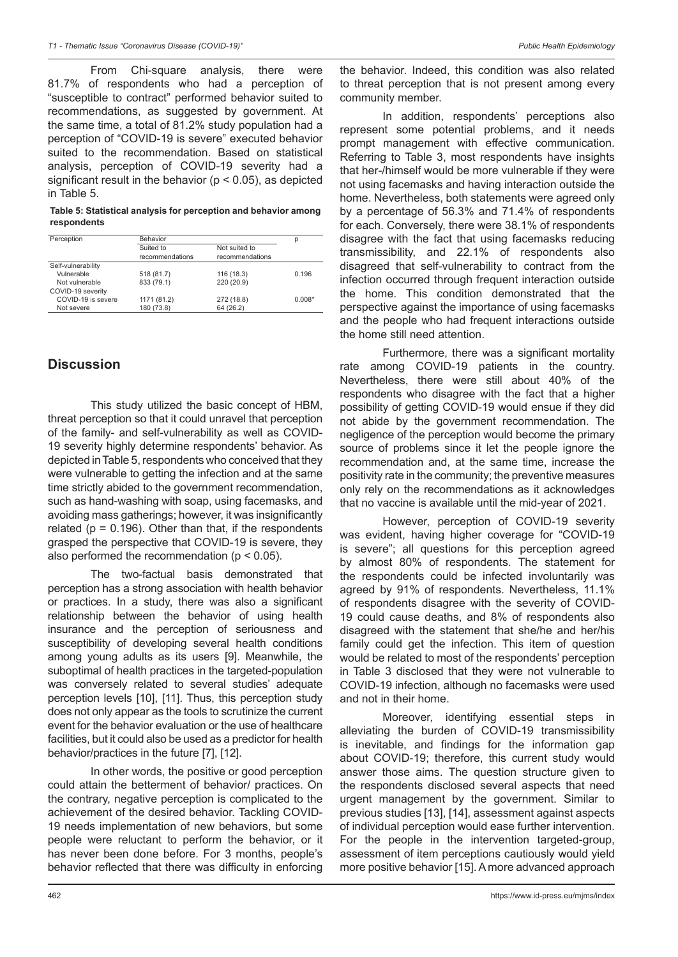From Chi-square analysis, there were 81.7% of respondents who had a perception of "susceptible to contract" performed behavior suited to recommendations, as suggested by government. At the same time, a total of 81.2% study population had a perception of "COVID-19 is severe" executed behavior suited to the recommendation. Based on statistical analysis, perception of COVID-19 severity had a significant result in the behavior ( $p < 0.05$ ), as depicted in Table 5.

**Table 5: Statistical analysis for perception and behavior among respondents**

| Perception         | Behavior        | р               |          |
|--------------------|-----------------|-----------------|----------|
|                    | Suited to       | Not suited to   |          |
|                    | recommendations | recommendations |          |
| Self-vulnerability |                 |                 |          |
| Vulnerable         | 518 (81.7)      | 116 (18.3)      | 0.196    |
| Not vulnerable     | 833 (79.1)      | 220 (20.9)      |          |
| COVID-19 severity  |                 |                 |          |
| COVID-19 is severe | 1171 (81.2)     | 272 (18.8)      | $0.008*$ |
| Not severe         | 180 (73.8)      | 64 (26.2)       |          |

# **Discussion**

This study utilized the basic concept of HBM, threat perception so that it could unravel that perception of the family- and self-vulnerability as well as COVID-19 severity highly determine respondents' behavior. As depicted in Table 5, respondents who conceived that they were vulnerable to getting the infection and at the same time strictly abided to the government recommendation, such as hand-washing with soap, using facemasks, and avoiding mass gatherings; however, it was insignificantly related ( $p = 0.196$ ). Other than that, if the respondents grasped the perspective that COVID-19 is severe, they also performed the recommendation (p < 0.05).

The two-factual basis demonstrated that perception has a strong association with health behavior or practices. In a study, there was also a significant relationship between the behavior of using health insurance and the perception of seriousness and susceptibility of developing several health conditions among young adults as its users [9]. Meanwhile, the suboptimal of health practices in the targeted-population was conversely related to several studies' adequate perception levels [10], [11]. Thus, this perception study does not only appear as the tools to scrutinize the current event for the behavior evaluation or the use of healthcare facilities, but it could also be used as a predictor for health behavior/practices in the future [7], [12].

In other words, the positive or good perception could attain the betterment of behavior/ practices. On the contrary, negative perception is complicated to the achievement of the desired behavior. Tackling COVID-19 needs implementation of new behaviors, but some people were reluctant to perform the behavior, or it has never been done before. For 3 months, people's behavior reflected that there was difficulty in enforcing

the behavior. Indeed, this condition was also related to threat perception that is not present among every community member.

In addition, respondents' perceptions also represent some potential problems, and it needs prompt management with effective communication. Referring to Table 3, most respondents have insights that her-/himself would be more vulnerable if they were not using facemasks and having interaction outside the home. Nevertheless, both statements were agreed only by a percentage of 56.3% and 71.4% of respondents for each. Conversely, there were 38.1% of respondents disagree with the fact that using facemasks reducing transmissibility, and 22.1% of respondents also disagreed that self-vulnerability to contract from the infection occurred through frequent interaction outside the home. This condition demonstrated that the perspective against the importance of using facemasks and the people who had frequent interactions outside the home still need attention.

Furthermore, there was a significant mortality rate among COVID-19 patients in the country. Nevertheless, there were still about 40% of the respondents who disagree with the fact that a higher possibility of getting COVID-19 would ensue if they did not abide by the government recommendation. The negligence of the perception would become the primary source of problems since it let the people ignore the recommendation and, at the same time, increase the positivity rate in the community; the preventive measures only rely on the recommendations as it acknowledges that no vaccine is available until the mid-year of 2021.

However, perception of COVID-19 severity was evident, having higher coverage for "COVID-19 is severe"; all questions for this perception agreed by almost 80% of respondents. The statement for the respondents could be infected involuntarily was agreed by 91% of respondents. Nevertheless, 11.1% of respondents disagree with the severity of COVID-19 could cause deaths, and 8% of respondents also disagreed with the statement that she/he and her/his family could get the infection. This item of question would be related to most of the respondents' perception in Table 3 disclosed that they were not vulnerable to COVID-19 infection, although no facemasks were used and not in their home.

Moreover, identifying essential steps in alleviating the burden of COVID-19 transmissibility is inevitable, and findings for the information gap about COVID-19; therefore, this current study would answer those aims. The question structure given to the respondents disclosed several aspects that need urgent management by the government. Similar to previous studies [13], [14], assessment against aspects of individual perception would ease further intervention. For the people in the intervention targeted-group, assessment of item perceptions cautiously would yield more positive behavior [15]. A more advanced approach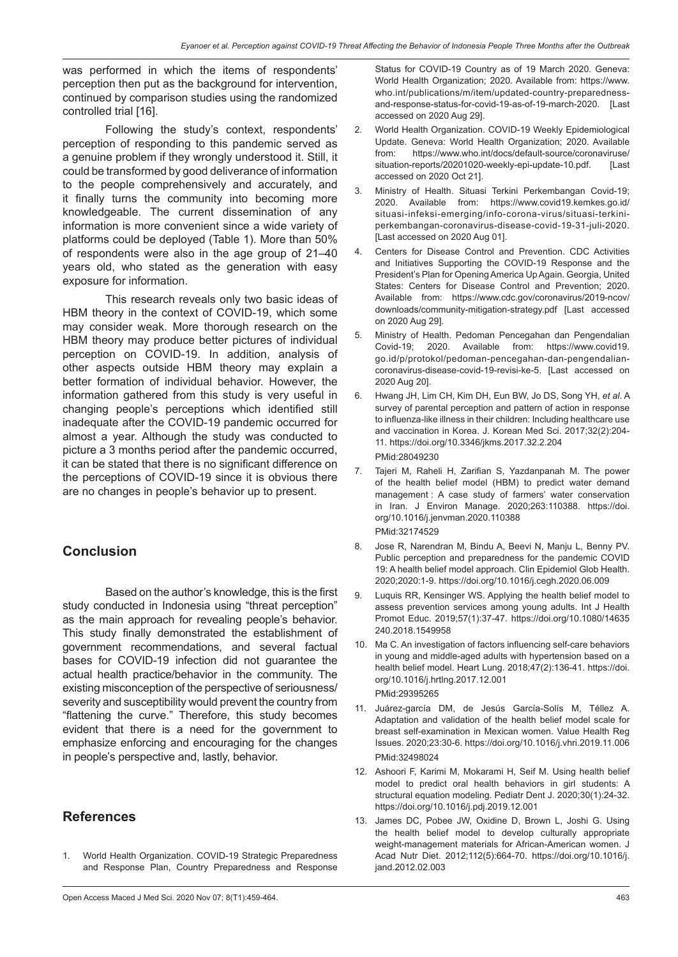was performed in which the items of respondents' perception then put as the background for intervention, continued by comparison studies using the randomized controlled trial [16].

Following the study's context, respondents' perception of responding to this pandemic served as a genuine problem if they wrongly understood it. Still, it could be transformed by good deliverance of information to the people comprehensively and accurately, and it finally turns the community into becoming more knowledgeable. The current dissemination of any information is more convenient since a wide variety of platforms could be deployed (Table 1). More than 50% of respondents were also in the age group of 21–40 years old, who stated as the generation with easy exposure for information.

This research reveals only two basic ideas of HBM theory in the context of COVID-19, which some may consider weak. More thorough research on the HBM theory may produce better pictures of individual perception on COVID-19. In addition, analysis of other aspects outside HBM theory may explain a better formation of individual behavior. However, the information gathered from this study is very useful in changing people's perceptions which identified still inadequate after the COVID-19 pandemic occurred for almost a year. Although the study was conducted to picture a 3 months period after the pandemic occurred, it can be stated that there is no significant difference on the perceptions of COVID-19 since it is obvious there are no changes in people's behavior up to present.

# **Conclusion**

Based on the author's knowledge, this is the first study conducted in Indonesia using "threat perception" as the main approach for revealing people's behavior. This study finally demonstrated the establishment of government recommendations, and several factual bases for COVID-19 infection did not guarantee the actual health practice/behavior in the community. The existing misconception of the perspective of seriousness/ severity and susceptibility would prevent the country from "flattening the curve." Therefore, this study becomes evident that there is a need for the government to emphasize enforcing and encouraging for the changes in people's perspective and, lastly, behavior.

# **References**

1. World Health Organization. COVID-19 Strategic Preparedness and Response Plan, Country Preparedness and Response Status for COVID-19 Country as of 19 March 2020. Geneva: World Health Organization; 2020. Available from: https://www. who.int/publications/m/item/updated-country-preparednessand-response-status-for-covid-19-as-of-19-march-2020. [Last accessed on 2020 Aug 29].

- 2. World Health Organization. COVID-19 Weekly Epidemiological Update. Geneva: World Health Organization; 2020. Available from: https://www.who.int/docs/default-source/coronaviruse/ situation-reports/20201020-weekly-epi-update-10.pdf. [Last accessed on 2020 Oct 21].
- 3. Ministry of Health. Situasi Terkini Perkembangan Covid-19; 2020. Available from: https://www.covid19.kemkes.go.id/ situasi-infeksi-emerging/info-corona-virus/situasi-terkiniperkembangan-coronavirus-disease-covid-19-31-juli-2020. [Last accessed on 2020 Aug 01].
- 4. Centers for Disease Control and Prevention. CDC Activities and Initiatives Supporting the COVID-19 Response and the President's Plan for Opening America Up Again. Georgia, United States: Centers for Disease Control and Prevention; 2020. Available from: https://www.cdc.gov/coronavirus/2019-ncov/ downloads/community-mitigation-strategy.pdf [Last accessed on 2020 Aug 29].
- 5. Ministry of Health. Pedoman Pencegahan dan Pengendalian Covid-19; 2020. Available from: https://www.covid19. go.id/p/protokol/pedoman-pencegahan-dan-pengendaliancoronavirus-disease-covid-19-revisi-ke-5. [Last accessed on 2020 Aug 20].
- 6. Hwang JH, Lim CH, Kim DH, Eun BW, Jo DS, Song YH, *et al*. A survey of parental perception and pattern of action in response to influenza-like illness in their children: Including healthcare use and vaccination in Korea. J. Korean Med Sci. 2017;32(2):204- 11. https://doi.org/10.3346/jkms.2017.32.2.204 PMid:28049230
- 7. Tajeri M, Raheli H, Zarifian S, Yazdanpanah M. The power of the health belief model (HBM) to predict water demand management : A case study of farmers' water conservation in Iran. J Environ Manage. 2020;263:110388. https://doi. org/10.1016/j.jenvman.2020.110388

### PMid:32174529

- 8. Jose R, Narendran M, Bindu A, Beevi N, Manju L, Benny PV. Public perception and preparedness for the pandemic COVID 19: A health belief model approach. Clin Epidemiol Glob Health. 2020;2020:1-9. https://doi.org/10.1016/j.cegh.2020.06.009
- 9. Luquis RR, Kensinger WS. Applying the health belief model to assess prevention services among young adults. Int J Health Promot Educ. 2019;57(1):37-47. https://doi.org/10.1080/14635 240.2018.1549958
- 10. Ma C. An investigation of factors influencing self-care behaviors in young and middle-aged adults with hypertension based on a health belief model. Heart Lung. 2018;47(2):136-41. https://doi. org/10.1016/j.hrtlng.2017.12.001 PMid:29395265
- 11. Juárez-garcía DM, de Jesús García-Solís M, Téllez A. Adaptation and validation of the health belief model scale for breast self-examination in Mexican women. Value Health Reg Issues. 2020;23:30-6. https://doi.org/10.1016/j.vhri.2019.11.006 PMid:32498024
- 12. Ashoori F, Karimi M, Mokarami H, Seif M. Using health belief model to predict oral health behaviors in girl students: A structural equation modeling. Pediatr Dent J. 2020;30(1):24-32. https://doi.org/10.1016/j.pdj.2019.12.001
- 13. James DC, Pobee JW, Oxidine D, Brown L, Joshi G. Using the health belief model to develop culturally appropriate weight-management materials for African-American women. J Acad Nutr Diet. 2012;112(5):664-70. https://doi.org/10.1016/j. jand.2012.02.003